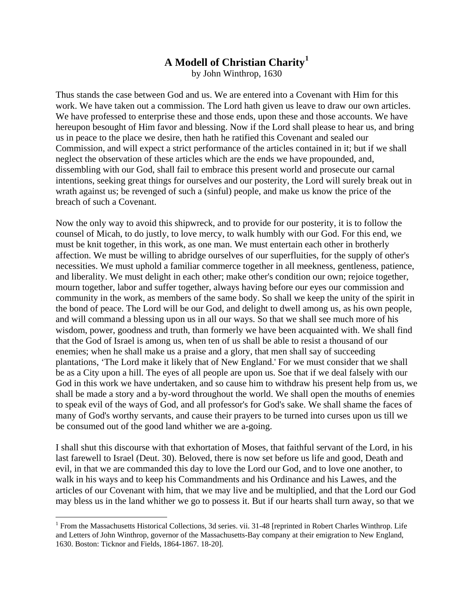## **A Modell of Christian Charity[1](#page-0-0)**

by John Winthrop, 1630

Thus stands the case between God and us. We are entered into a Covenant with Him for this work. We have taken out a commission. The Lord hath given us leave to draw our own articles. We have professed to enterprise these and those ends, upon these and those accounts. We have hereupon besought of Him favor and blessing. Now if the Lord shall please to hear us, and bring us in peace to the place we desire, then hath he ratified this Covenant and sealed our Commission, and will expect a strict performance of the articles contained in it; but if we shall neglect the observation of these articles which are the ends we have propounded, and, dissembling with our God, shall fail to embrace this present world and prosecute our carnal intentions, seeking great things for ourselves and our posterity, the Lord will surely break out in wrath against us; be revenged of such a (sinful) people, and make us know the price of the breach of such a Covenant.

Now the only way to avoid this shipwreck, and to provide for our posterity, it is to follow the counsel of Micah, to do justly, to love mercy, to walk humbly with our God. For this end, we must be knit together, in this work, as one man. We must entertain each other in brotherly affection. We must be willing to abridge ourselves of our superfluities, for the supply of other's necessities. We must uphold a familiar commerce together in all meekness, gentleness, patience, and liberality. We must delight in each other; make other's condition our own; rejoice together, mourn together, labor and suffer together, always having before our eyes our commission and community in the work, as members of the same body. So shall we keep the unity of the spirit in the bond of peace. The Lord will be our God, and delight to dwell among us, as his own people, and will command a blessing upon us in all our ways. So that we shall see much more of his wisdom, power, goodness and truth, than formerly we have been acquainted with. We shall find that the God of Israel is among us, when ten of us shall be able to resist a thousand of our enemies; when he shall make us a praise and a glory, that men shall say of succeeding plantations, 'The Lord make it likely that of New England.' For we must consider that we shall be as a City upon a hill. The eyes of all people are upon us. Soe that if we deal falsely with our God in this work we have undertaken, and so cause him to withdraw his present help from us, we shall be made a story and a by-word throughout the world. We shall open the mouths of enemies to speak evil of the ways of God, and all professor's for God's sake. We shall shame the faces of many of God's worthy servants, and cause their prayers to be turned into curses upon us till we be consumed out of the good land whither we are a-going.

I shall shut this discourse with that exhortation of Moses, that faithful servant of the Lord, in his last farewell to Israel (Deut. 30). Beloved, there is now set before us life and good, Death and evil, in that we are commanded this day to love the Lord our God, and to love one another, to walk in his ways and to keep his Commandments and his Ordinance and his Lawes, and the articles of our Covenant with him, that we may live and be multiplied, and that the Lord our God may bless us in the land whither we go to possess it. But if our hearts shall turn away, so that we

 $\overline{a}$ 

<span id="page-0-0"></span><sup>&</sup>lt;sup>1</sup> From the Massachusetts Historical Collections, 3d series. vii. 31-48 [reprinted in Robert Charles Winthrop. Life and Letters of John Winthrop, governor of the Massachusetts-Bay company at their emigration to New England, 1630. Boston: Ticknor and Fields, 1864-1867. 18-20].